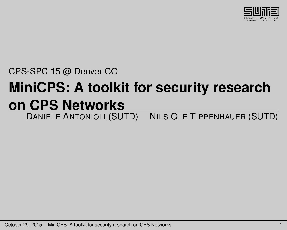

CPS-SPC 15 @ Denver CO

#### **MiniCPS: A toolkit for security research <u>ON CPS Networks</u>**<br>**DANIELE ANTONIOLI (SUTD) NILS OLE TIPPENHAUER (SUTD)**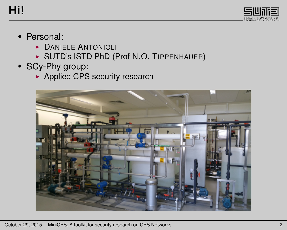#### **Hi!**



#### • Personal:

- **DANIELE ANTONIOLI**
- **BUTD's ISTD PhD (Prof N.O. TIPPENHAUER)**
- SCy-Phy group:
	- $\blacktriangleright$  Applied CPS security research

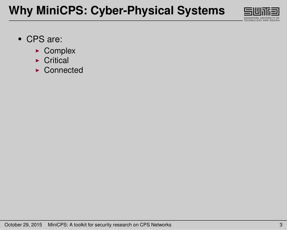# **Why MiniCPS: Cyber-Physical Systems**



- CPS are:
	- $\triangleright$  Complex
	- $\triangleright$  Critical
	- $\triangleright$  Connected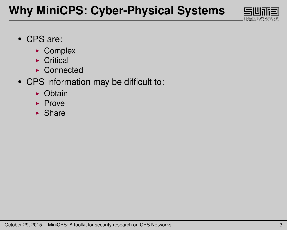# **Why MiniCPS: Cyber-Physical Systems**



- CPS are:
	- $\triangleright$  Complex
	- $\triangleright$  Critical
	- $\triangleright$  Connected
- CPS information may be difficult to:
	- $\triangleright$  Obtain
	- $\blacktriangleright$  Prove
	- $\blacktriangleright$  Share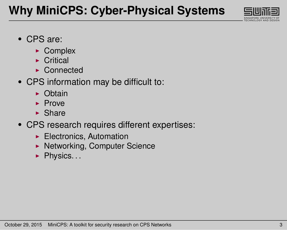

- CPS are:
	- $\triangleright$  Complex
	- $\triangleright$  Critical
	- $\triangleright$  Connected
- CPS information may be difficult to:
	- $\triangleright$  Obtain
	- $\blacktriangleright$  Prove
	- $\blacktriangleright$  Share
- CPS research requires different expertises:
	- $\blacktriangleright$  Electronics, Automation
	- ▶ Networking, Computer Science
	- $\blacktriangleright$  Physics...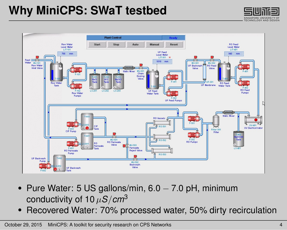## **Why MiniCPS: SWaT testbed**





- Pure Water: 5 US gallons/min, 6.0 − 7.0 pH, minimum conductivity of 10 µ*S*/*cm*<sup>3</sup>
- Recovered Water: 70% processed water, 50% dirty recirculation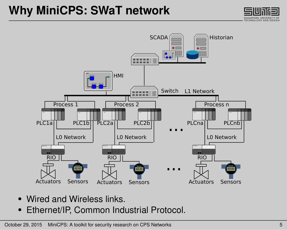## **Why MiniCPS: SWaT network**





- Wired and Wireless links.
- Ethernet/IP, Common Industrial Protocol.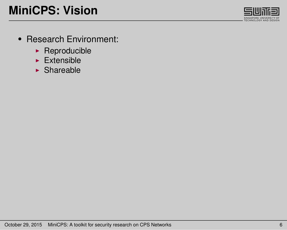

- Research Environment:
	- $\blacktriangleright$  Reproducible
	- $\blacktriangleright$  Extensible
	- $\blacktriangleright$  Shareable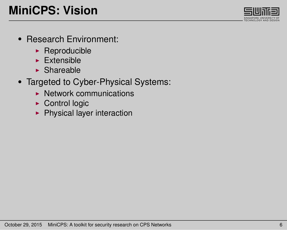

- Research Environment:
	- $\blacktriangleright$  Reproducible
	- $\blacktriangleright$  Extensible
	- $\blacktriangleright$  Shareable
- Targeted to Cyber-Physical Systems:
	- $\blacktriangleright$  Network communications
	- $\triangleright$  Control logic
	- $\blacktriangleright$  Physical layer interaction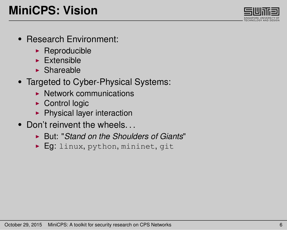# **MiniCPS: Vision**

- Research Environment:
	- $\blacktriangleright$  Reproducible
	- $\blacktriangleright$  Extensible
	- $\blacktriangleright$  Shareable
- Targeted to Cyber-Physical Systems:
	- $\blacktriangleright$  Network communications
	- $\triangleright$  Control logic
	- $\blacktriangleright$  Physical layer interaction
- Don't reinvent the wheels.
	- ▶ But: "*Stand on the Shoulders of Giants*"
	- $\blacktriangleright$  Eq: linux, python, mininet, git

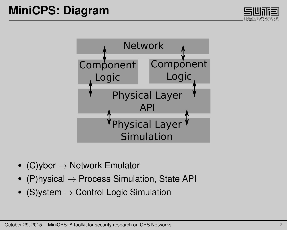



- (C)yber  $\rightarrow$  Network Emulator
- (P)hysical  $\rightarrow$  Process Simulation, State API
- (S) vstem  $\rightarrow$  Control Logic Simulation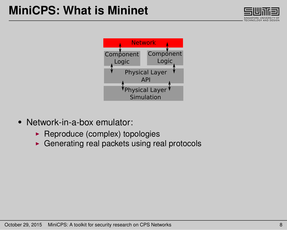



- Network-in-a-box emulator:
	- $\blacktriangleright$  Reproduce (complex) topologies
	- $\triangleright$  Generating real packets using real protocols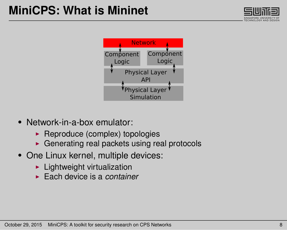



- Network-in-a-box emulator:
	- $\blacktriangleright$  Reproduce (complex) topologies
	- $\triangleright$  Generating real packets using real protocols
- One Linux kernel, multiple devices:
	- $\blacktriangleright$  Lightweight virtualization
	- ► Each device is a *container*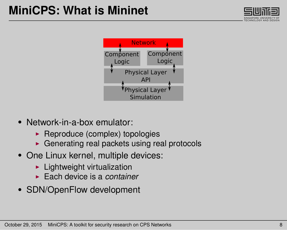



- Network-in-a-box emulator:
	- $\blacktriangleright$  Reproduce (complex) topologies
	- $\triangleright$  Generating real packets using real protocols
- One Linux kernel, multiple devices:
	- $\blacktriangleright$  Lightweight virtualization
	- ► Each device is a *container*
- SDN/OpenFlow development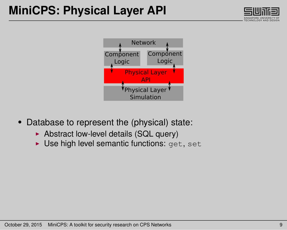



- Database to represent the (physical) state:
	- $\triangleright$  Abstract low-level details (SQL query)
	- $\triangleright$  Use high level semantic functions: get, set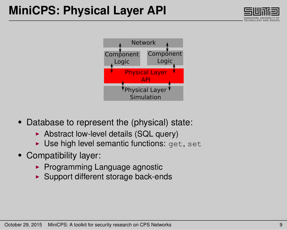



- Database to represent the (physical) state:
	- $\triangleright$  Abstract low-level details (SQL query)
	- $\triangleright$  Use high level semantic functions: get, set
- Compatibility layer:
	- $\blacktriangleright$  Programming Language agnostic
	- $\blacktriangleright$  Support different storage back-ends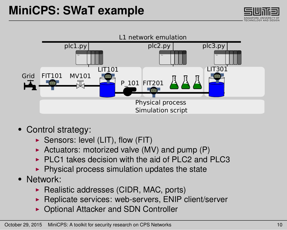



- Control strategy:
	- $\triangleright$  Sensors: level (LIT), flow (FIT)
	- Actuators: motorized valve (MV) and pump (P)
	- $\triangleright$  PLC1 takes decision with the aid of PLC2 and PLC3
	- $\blacktriangleright$  Physical process simulation updates the state
- Network:
	- $\blacktriangleright$  Realistic addresses (CIDR, MAC, ports)
	- $\blacktriangleright$  Replicate services: web-servers, ENIP client/server
	- ▶ Optional Attacker and SDN Controller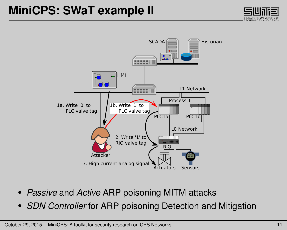#### **MiniCPS: SWaT example II**





- *Passive* and *Active* ARP poisoning MITM attacks
- *SDN Controller* for ARP poisoning Detection and Mitigation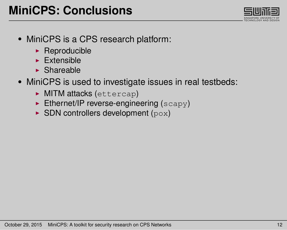- MiniCPS is a CPS research platform:
	- $\blacktriangleright$  Reproducible
	- $\blacktriangleright$  Extensible
	- $\blacktriangleright$  Shareable
- MiniCPS is used to investigate issues in real testbeds:
	- $\triangleright$  MITM attacks (ettercap)
	- $\blacktriangleright$  Ethernet/IP reverse-engineering ( $scav$ )
	- $\triangleright$  SDN controllers development (pox)